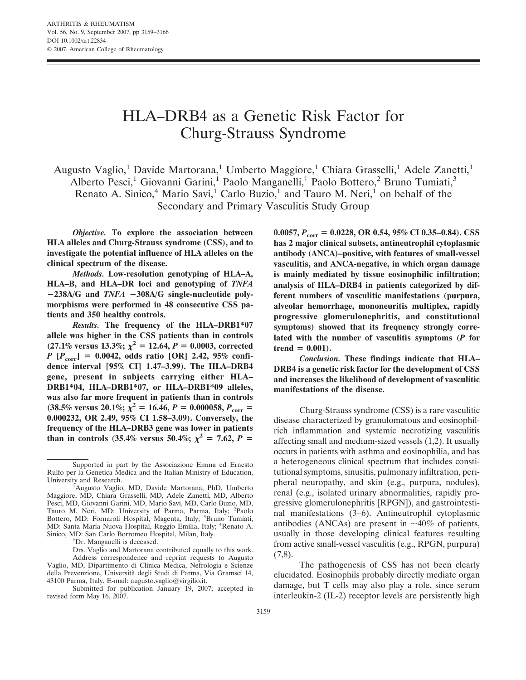# HLA–DRB4 as a Genetic Risk Factor for Churg-Strauss Syndrome

Augusto Vaglio,<sup>1</sup> Davide Martorana,<sup>1</sup> Umberto Maggiore,<sup>1</sup> Chiara Grasselli,<sup>1</sup> Adele Zanetti,<sup>1</sup> Alberto Pesci,<sup>1</sup> Giovanni Garini,<sup>1</sup> Paolo Manganelli,<sup>†</sup> Paolo Bottero,<sup>2</sup> Bruno Tumiati,<sup>3</sup> Renato A. Sinico,<sup>4</sup> Mario Savi,<sup>1</sup> Carlo Buzio,<sup>1</sup> and Tauro M. Neri,<sup>1</sup> on behalf of the

Secondary and Primary Vasculitis Study Group

*Objective.* **To explore the association between HLA alleles and Churg-Strauss syndrome (CSS), and to investigate the potential influence of HLA alleles on the clinical spectrum of the disease.**

*Methods.* **Low-resolution genotyping of HLA–A, HLA–B, and HLA–DR loci and genotyping of** *TNFA* **238A/G and** *TNFA* **308A/G single-nucleotide polymorphisms were performed in 48 consecutive CSS patients and 350 healthy controls.**

*Results.* **The frequency of the HLA–DRB1\*07 allele was higher in the CSS patients than in controls**  $(27.1\% \text{ versus } 13.3\%; \chi^2 = 12.64, P = 0.0003, \text{ corrected}$ *P* **[***P***corr] 0.0042, odds ratio [OR] 2.42, 95% confidence interval [95% CI] 1.47–3.99). The HLA–DRB4 gene, present in subjects carrying either HLA– DRB1\*04, HLA–DRB1\*07, or HLA–DRB1\*09 alleles, was also far more frequent in patients than in controls**  $(38.5\% \text{ versus } 20.1\%; \ \bar{\chi}^2 = 16.46, P = 0.000058, P_{\text{corr}} =$ **0.000232, OR 2.49, 95% CI 1.58–3.09). Conversely, the frequency of the HLA–DRB3 gene was lower in patients than in controls (35.4% versus 50.4%;**  $\chi^2 = 7.62$ ,  $P =$ 

<sup>†</sup>Dr. Manganelli is deceased.

**0.0057,** *P***corr 0.0228, OR 0.54, 95% CI 0.35–0.84). CSS has 2 major clinical subsets, antineutrophil cytoplasmic antibody (ANCA)–positive, with features of small-vessel vasculitis, and ANCA-negative, in which organ damage is mainly mediated by tissue eosinophilic infiltration; analysis of HLA–DRB4 in patients categorized by different numbers of vasculitic manifestations (purpura, alveolar hemorrhage, mononeuritis multiplex, rapidly progressive glomerulonephritis, and constitutional symptoms) showed that its frequency strongly correlated with the number of vasculitis symptoms (***P* **for**  $trend = 0.001$ .

*Conclusion.* **These findings indicate that HLA– DRB4 is a genetic risk factor for the development of CSS and increases the likelihood of development of vasculitic manifestations of the disease.**

Churg-Strauss syndrome (CSS) is a rare vasculitic disease characterized by granulomatous and eosinophilrich inflammation and systemic necrotizing vasculitis affecting small and medium-sized vessels (1,2). It usually occurs in patients with asthma and eosinophilia, and has a heterogeneous clinical spectrum that includes constitutional symptoms, sinusitis, pulmonary infiltration, peripheral neuropathy, and skin (e.g., purpura, nodules), renal (e.g., isolated urinary abnormalities, rapidly progressive glomerulonephritis [RPGN]), and gastrointestinal manifestations (3–6). Antineutrophil cytoplasmic antibodies (ANCAs) are present in  $\sim$ 40% of patients, usually in those developing clinical features resulting from active small-vessel vasculitis (e.g., RPGN, purpura)  $(7,8)$ .

The pathogenesis of CSS has not been clearly elucidated. Eosinophils probably directly mediate organ damage, but T cells may also play a role, since serum interleukin-2 (IL-2) receptor levels are persistently high

Supported in part by the Associazione Emma ed Ernesto Rulfo per la Genetica Medica and the Italian Ministry of Education, University and Research. <sup>1</sup>

<sup>&</sup>lt;sup>1</sup>Augusto Vaglio, MD, Davide Martorana, PhD, Umberto Maggiore, MD, Chiara Grasselli, MD, Adele Zanetti, MD, Alberto Pesci, MD, Giovanni Garini, MD, Mario Savi, MD, Carlo Buzio, MD, Tauro M. Neri, MD: University of Parma, Parma, Italy; <sup>2</sup>Paolo Bottero, MD: Fornaroli Hospital, Magenta, Italy; <sup>3</sup>Bruno Tumiati, MD: Santa Maria Nuova Hospital, Reggio Emilia, Italy; <sup>4</sup>Renato A. Sinico, MD: San Carlo Borromeo Hospital, Milan, Italy. †

Drs. Vaglio and Martorana contributed equally to this work. Address correspondence and reprint requests to Augusto Vaglio, MD, Dipartimento di Clinica Medica, Nefrologia e Scienze della Prevenzione, Universita` degli Studi di Parma, Via Gramsci 14, 43100 Parma, Italy. E-mail: augusto.vaglio@virgilio.it.

Submitted for publication January 19, 2007; accepted in revised form May 16, 2007.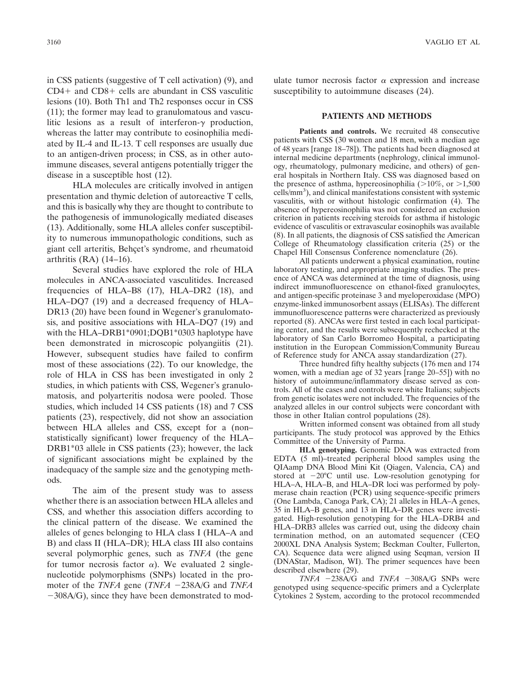in CSS patients (suggestive of T cell activation) (9), and CD4- and CD8- cells are abundant in CSS vasculitic lesions (10). Both Th1 and Th2 responses occur in CSS (11); the former may lead to granulomatous and vasculitic lesions as a result of interferon- $\gamma$  production, whereas the latter may contribute to eosinophilia mediated by IL-4 and IL-13. T cell responses are usually due to an antigen-driven process; in CSS, as in other autoimmune diseases, several antigens potentially trigger the disease in a susceptible host (12).

HLA molecules are critically involved in antigen presentation and thymic deletion of autoreactive T cells, and this is basically why they are thought to contribute to the pathogenesis of immunologically mediated diseases (13). Additionally, some HLA alleles confer susceptibility to numerous immunopathologic conditions, such as giant cell arteritis, Behcet's syndrome, and rheumatoid arthritis (RA) (14–16).

Several studies have explored the role of HLA molecules in ANCA-associated vasculitides. Increased frequencies of HLA–B8 (17), HLA–DR2 (18), and HLA–DQ7 (19) and a decreased frequency of HLA– DR13 (20) have been found in Wegener's granulomatosis, and positive associations with HLA–DQ7 (19) and with the HLA–DRB1<sup>\*</sup>0901;DOB1<sup>\*</sup>0303 haplotype have been demonstrated in microscopic polyangiitis (21). However, subsequent studies have failed to confirm most of these associations (22). To our knowledge, the role of HLA in CSS has been investigated in only 2 studies, in which patients with CSS, Wegener's granulomatosis, and polyarteritis nodosa were pooled. Those studies, which included 14 CSS patients (18) and 7 CSS patients (23), respectively, did not show an association between HLA alleles and CSS, except for a (non– statistically significant) lower frequency of the HLA– DRB1\*03 allele in CSS patients (23); however, the lack of significant associations might be explained by the inadequacy of the sample size and the genotyping methods.

The aim of the present study was to assess whether there is an association between HLA alleles and CSS, and whether this association differs according to the clinical pattern of the disease. We examined the alleles of genes belonging to HLA class I (HLA–A and B) and class II (HLA–DR); HLA class III also contains several polymorphic genes, such as *TNFA* (the gene for tumor necrosis factor  $\alpha$ ). We evaluated 2 singlenucleotide polymorphisms (SNPs) located in the promoter of the *TNFA* gene (*TNFA* -238A/G and *TNFA*  $-308A/G$ ), since they have been demonstrated to mod-

ulate tumor necrosis factor  $\alpha$  expression and increase susceptibility to autoimmune diseases (24).

### **PATIENTS AND METHODS**

Patients and controls. We recruited 48 consecutive patients with CSS (30 women and 18 men, with a median age of 48 years [range 18–78]). The patients had been diagnosed at internal medicine departments (nephrology, clinical immunology, rheumatology, pulmonary medicine, and others) of general hospitals in Northern Italy. CSS was diagnosed based on the presence of asthma, hypereosinophilia ( $>10\%$ , or  $>1,500$ cells/mm3 ), and clinical manifestations consistent with systemic vasculitis, with or without histologic confirmation (4). The absence of hypereosinophilia was not considered an exclusion criterion in patients receiving steroids for asthma if histologic evidence of vasculitis or extravascular eosinophils was available (8). In all patients, the diagnosis of CSS satisfied the American College of Rheumatology classification criteria (25) or the Chapel Hill Consensus Conference nomenclature (26).

All patients underwent a physical examination, routine laboratory testing, and appropriate imaging studies. The presence of ANCA was determined at the time of diagnosis, using indirect immunofluorescence on ethanol-fixed granulocytes, and antigen-specific proteinase 3 and myeloperoxidase (MPO) enzyme-linked immunosorbent assays (ELISAs). The different immunofluorescence patterns were characterized as previously reported (8). ANCAs were first tested in each local participating center, and the results were subsequently rechecked at the laboratory of San Carlo Borromeo Hospital, a participating institution in the European Commission/Community Bureau of Reference study for ANCA assay standardization (27).

Three hundred fifty healthy subjects (176 men and 174 women, with a median age of 32 years [range 20–55]) with no history of autoimmune/inflammatory disease served as controls. All of the cases and controls were white Italians; subjects from genetic isolates were not included. The frequencies of the analyzed alleles in our control subjects were concordant with those in other Italian control populations (28).

Written informed consent was obtained from all study participants. The study protocol was approved by the Ethics Committee of the University of Parma.

**HLA genotyping.** Genomic DNA was extracted from EDTA (5 ml)–treated peripheral blood samples using the QIAamp DNA Blood Mini Kit (Qiagen, Valencia, CA) and stored at  $-20^{\circ}$ C until use. Low-resolution genotyping for HLA–A, HLA–B, and HLA–DR loci was performed by polymerase chain reaction (PCR) using sequence-specific primers (One Lambda, Canoga Park, CA); 21 alleles in HLA–A genes, 35 in HLA–B genes, and 13 in HLA–DR genes were investigated. High-resolution genotyping for the HLA–DRB4 and HLA–DRB3 alleles was carried out, using the dideoxy chain termination method, on an automated sequencer (CEQ 2000XL DNA Analysis System; Beckman Coulter, Fullerton, CA). Sequence data were aligned using Seqman, version II (DNAStar, Madison, WI). The primer sequences have been described elsewhere (29).

 $TNFA$   $-238A/G$  and  $TNFA$   $-308A/G$  SNPs were genotyped using sequence-specific primers and a Cyclerplate Cytokines 2 System, according to the protocol recommended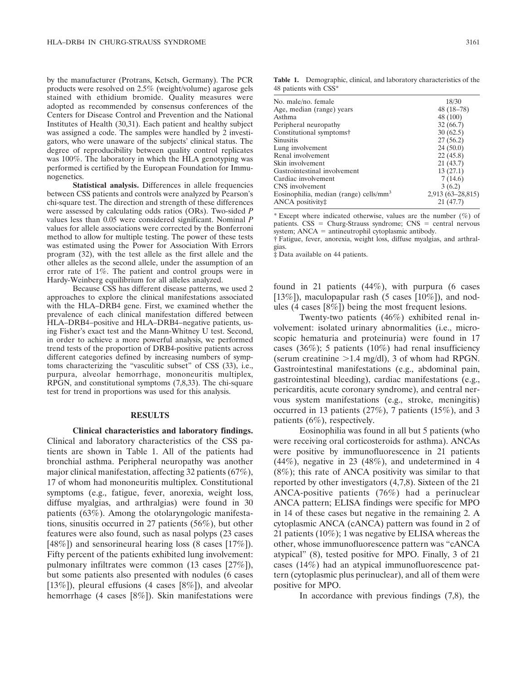by the manufacturer (Protrans, Ketsch, Germany). The PCR products were resolved on 2.5% (weight/volume) agarose gels stained with ethidium bromide. Quality measures were adopted as recommended by consensus conferences of the Centers for Disease Control and Prevention and the National Institutes of Health (30,31). Each patient and healthy subject was assigned a code. The samples were handled by 2 investigators, who were unaware of the subjects' clinical status. The degree of reproducibility between quality control replicates was 100%. The laboratory in which the HLA genotyping was performed is certified by the European Foundation for Immunogenetics.

**Statistical analysis.** Differences in allele frequencies between CSS patients and controls were analyzed by Pearson's chi-square test. The direction and strength of these differences were assessed by calculating odds ratios (ORs). Two-sided *P* values less than 0.05 were considered significant. Nominal *P* values for allele associations were corrected by the Bonferroni method to allow for multiple testing. The power of these tests was estimated using the Power for Association With Errors program (32), with the test allele as the first allele and the other alleles as the second allele, under the assumption of an error rate of 1%. The patient and control groups were in Hardy-Weinberg equilibrium for all alleles analyzed.

Because CSS has different disease patterns, we used 2 approaches to explore the clinical manifestations associated with the HLA–DRB4 gene. First, we examined whether the prevalence of each clinical manifestation differed between HLA–DRB4–positive and HLA–DRB4–negative patients, using Fisher's exact test and the Mann-Whitney U test. Second, in order to achieve a more powerful analysis, we performed trend tests of the proportion of DRB4-positive patients across different categories defined by increasing numbers of symptoms characterizing the "vasculitic subset" of CSS (33), i.e., purpura, alveolar hemorrhage, mononeuritis multiplex, RPGN, and constitutional symptoms (7,8,33). The chi-square test for trend in proportions was used for this analysis.

### **RESULTS**

**Clinical characteristics and laboratory findings.** Clinical and laboratory characteristics of the CSS patients are shown in Table 1. All of the patients had bronchial asthma. Peripheral neuropathy was another major clinical manifestation, affecting 32 patients (67%), 17 of whom had mononeuritis multiplex. Constitutional symptoms (e.g., fatigue, fever, anorexia, weight loss, diffuse myalgias, and arthralgias) were found in 30 patients (63%). Among the otolaryngologic manifestations, sinusitis occurred in 27 patients (56%), but other features were also found, such as nasal polyps (23 cases [48%]) and sensorineural hearing loss (8 cases [17%]). Fifty percent of the patients exhibited lung involvement: pulmonary infiltrates were common (13 cases [27%]), but some patients also presented with nodules (6 cases [13%]), pleural effusions (4 cases [8%]), and alveolar hemorrhage (4 cases [8%]). Skin manifestations were

**Table 1.** Demographic, clinical, and laboratory characteristics of the 48 patients with CSS\*

| No. male/no. female                       | 18/30             |
|-------------------------------------------|-------------------|
| Age, median (range) years                 | $48(18-78)$       |
| Asthma                                    | 48 (100)          |
| Peripheral neuropathy                     | 32(66.7)          |
| Constitutional symptoms                   | 30(62.5)          |
| <b>Sinusitis</b>                          | 27(56.2)          |
| Lung involvement                          | 24(50.0)          |
| Renal involvement                         | 22(45.8)          |
| Skin involvement                          | 21(43.7)          |
| Gastrointestinal involvement              | 13(27.1)          |
| Cardiac involvement                       | 7(14.6)           |
| CNS involvement                           | 3(6.2)            |
| Eosinophilia, median (range) cells/ $mm3$ | 2,913 (63-28,815) |
| ANCA positivity:                          | 21(47.7)          |
|                                           |                   |

\* Except where indicated otherwise, values are the number  $(\%)$  of patients.  $CSS = Churg-Strauss$  syndrome;  $CNS = central$  nervous system;  $ANCA = antineutrophil cytoplasmic antibody.$ 

† Fatigue, fever, anorexia, weight loss, diffuse myalgias, and arthralgias.

‡ Data available on 44 patients.

found in 21 patients  $(44\%)$ , with purpura (6 cases [13%]), maculopapular rash (5 cases [10%]), and nodules (4 cases [8%]) being the most frequent lesions.

Twenty-two patients (46%) exhibited renal involvement: isolated urinary abnormalities (i.e., microscopic hematuria and proteinuria) were found in 17 cases (36%); 5 patients (10%) had renal insufficiency (serum creatinine  $>1.4$  mg/dl), 3 of whom had RPGN. Gastrointestinal manifestations (e.g., abdominal pain, gastrointestinal bleeding), cardiac manifestations (e.g., pericarditis, acute coronary syndrome), and central nervous system manifestations (e.g., stroke, meningitis) occurred in 13 patients (27%), 7 patients (15%), and 3 patients (6%), respectively.

Eosinophilia was found in all but 5 patients (who were receiving oral corticosteroids for asthma). ANCAs were positive by immunofluorescence in 21 patients (44%), negative in 23 (48%), and undetermined in 4 (8%); this rate of ANCA positivity was similar to that reported by other investigators (4,7,8). Sixteen of the 21 ANCA-positive patients (76%) had a perinuclear ANCA pattern; ELISA findings were specific for MPO in 14 of these cases but negative in the remaining 2. A cytoplasmic ANCA (cANCA) pattern was found in 2 of 21 patients (10%); 1 was negative by ELISA whereas the other, whose immunofluorescence pattern was "cANCA atypical" (8), tested positive for MPO. Finally, 3 of 21 cases (14%) had an atypical immunofluorescence pattern (cytoplasmic plus perinuclear), and all of them were positive for MPO.

In accordance with previous findings (7,8), the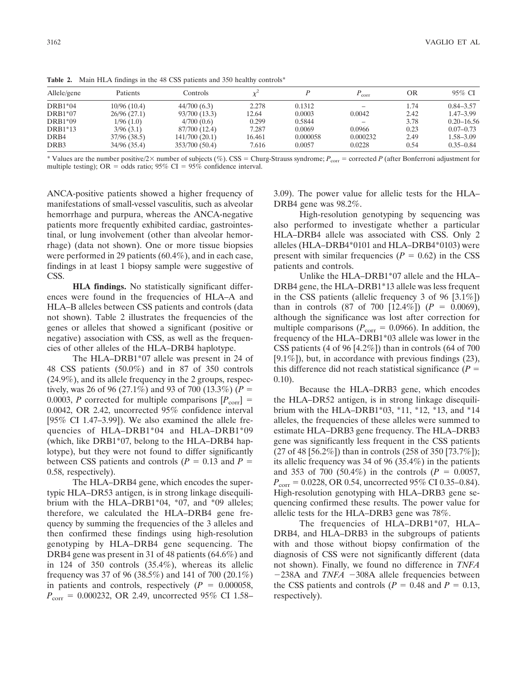| Patients<br>OR<br>Allele/gene<br>Controls<br>corr<br>DRB1*04<br>10/96 (10.4)<br>44/700(6.3)<br>2.278<br>1.74<br>0.1312<br>$DRB1*07$<br>0.0003<br>0.0042<br>2.42<br>26/96(27.1)<br>93/700 (13.3)<br>12.64<br>0.299<br>3.78<br>DRB1*09<br>0.5844<br>4/700(0.6)<br>1/96(1.0)<br>$\overline{\phantom{a}}$<br>7.287<br>0.0069<br>0.0966<br>0.23<br>DRB1*13<br>87/700 (12.4)<br>3/96(3.1)<br>0.000058<br>0.000232<br>DRB4<br>37/96 (38.5)<br>16.461<br>2.49<br>141/700 (20.1) |  |  |  |                |
|-------------------------------------------------------------------------------------------------------------------------------------------------------------------------------------------------------------------------------------------------------------------------------------------------------------------------------------------------------------------------------------------------------------------------------------------------------------------------|--|--|--|----------------|
|                                                                                                                                                                                                                                                                                                                                                                                                                                                                         |  |  |  | $95\%$ CI      |
|                                                                                                                                                                                                                                                                                                                                                                                                                                                                         |  |  |  | $0.84 - 3.57$  |
|                                                                                                                                                                                                                                                                                                                                                                                                                                                                         |  |  |  | $1.47 - 3.99$  |
|                                                                                                                                                                                                                                                                                                                                                                                                                                                                         |  |  |  | $0.20 - 16.56$ |
|                                                                                                                                                                                                                                                                                                                                                                                                                                                                         |  |  |  | $0.07 - 0.73$  |
|                                                                                                                                                                                                                                                                                                                                                                                                                                                                         |  |  |  | $1.58 - 3.09$  |
| DRB3<br>0.0057<br>0.0228<br>0.54<br>34/96 (35.4)<br>7.616<br>353/700 (50.4)                                                                                                                                                                                                                                                                                                                                                                                             |  |  |  | $0.35 - 0.84$  |

**Table 2.** Main HLA findings in the 48 CSS patients and 350 healthy controls\*

\* Values are the number positive/2× number of subjects (%). CSS = Churg-Strauss syndrome;  $P_{\text{corr}}$  = corrected *P* (after Bonferroni adjustment for multiple testing); OR = odds ratio; 95% CI = 95% confidence interval.

ANCA-positive patients showed a higher frequency of manifestations of small-vessel vasculitis, such as alveolar hemorrhage and purpura, whereas the ANCA-negative patients more frequently exhibited cardiac, gastrointestinal, or lung involvement (other than alveolar hemorrhage) (data not shown). One or more tissue biopsies were performed in 29 patients (60.4%), and in each case, findings in at least 1 biopsy sample were suggestive of CSS.

**HLA findings.** No statistically significant differences were found in the frequencies of HLA–A and HLA–B alleles between CSS patients and controls (data not shown). Table 2 illustrates the frequencies of the genes or alleles that showed a significant (positive or negative) association with CSS, as well as the frequencies of other alleles of the HLA–DRB4 haplotype.

The HLA–DRB1\*07 allele was present in 24 of 48 CSS patients (50.0%) and in 87 of 350 controls (24.9%), and its allele frequency in the 2 groups, respectively, was 26 of 96 (27.1%) and 93 of 700 (13.3%) ( $P =$ 0.0003, *P* corrected for multiple comparisons  $[P_{\text{corr}}]$  = 0.0042, OR 2.42, uncorrected 95% confidence interval [95% CI 1.47–3.99]). We also examined the allele frequencies of HLA–DRB1\*04 and HLA–DRB1\*09 (which, like DRB1\*07, belong to the HLA–DRB4 haplotype), but they were not found to differ significantly between CSS patients and controls  $(P = 0.13$  and  $P =$ 0.58, respectively).

The HLA–DRB4 gene, which encodes the supertypic HLA–DR53 antigen, is in strong linkage disequilibrium with the HLA–DRB1\*04, \*07, and \*09 alleles; therefore, we calculated the HLA–DRB4 gene frequency by summing the frequencies of the 3 alleles and then confirmed these findings using high-resolution genotyping by HLA–DRB4 gene sequencing. The DRB4 gene was present in 31 of 48 patients (64.6%) and in 124 of 350 controls (35.4%), whereas its allelic frequency was 37 of 96 (38.5%) and 141 of 700 (20.1%) in patients and controls, respectively  $(P = 0.000058,$  $P_{\text{corr}} = 0.000232$ , OR 2.49, uncorrected 95% CI 1.58–

3.09). The power value for allelic tests for the HLA– DRB4 gene was 98.2%.

High-resolution genotyping by sequencing was also performed to investigate whether a particular HLA–DRB4 allele was associated with CSS. Only 2 alleles (HLA–DRB4\*0101 and HLA–DRB4\*0103) were present with similar frequencies  $(P = 0.62)$  in the CSS patients and controls.

Unlike the HLA–DRB1\*07 allele and the HLA– DRB4 gene, the HLA–DRB1\*13 allele was less frequent in the CSS patients (allelic frequency 3 of 96 [3.1%]) than in controls  $(87 \text{ of } 700 \text{ [}12.4\%)$   $(P = 0.0069)$ , although the significance was lost after correction for multiple comparisons ( $P_{\text{corr}} = 0.0966$ ). In addition, the frequency of the HLA–DRB1\*03 allele was lower in the CSS patients (4 of 96 [4.2%]) than in controls (64 of 700  $[9.1\%]$ , but, in accordance with previous findings (23), this difference did not reach statistical significance  $(P =$ 0.10).

Because the HLA–DRB3 gene, which encodes the HLA–DR52 antigen, is in strong linkage disequilibrium with the HLA–DRB1\*03, \*11, \*12, \*13, and \*14 alleles, the frequencies of these alleles were summed to estimate HLA–DRB3 gene frequency. The HLA–DRB3 gene was significantly less frequent in the CSS patients (27 of 48 [56.2%]) than in controls (258 of 350 [73.7%]); its allelic frequency was 34 of 96 (35.4%) in the patients and 353 of 700 (50.4%) in the controls ( $P = 0.0057$ ,  $P_{corr} = 0.0228$ , OR 0.54, uncorrected 95% CI 0.35–0.84). High-resolution genotyping with HLA–DRB3 gene sequencing confirmed these results. The power value for allelic tests for the HLA–DRB3 gene was 78%.

The frequencies of HLA–DRB1\*07, HLA– DRB4, and HLA–DRB3 in the subgroups of patients with and those without biopsy confirmation of the diagnosis of CSS were not significantly different (data not shown). Finally, we found no difference in *TNFA*  $-238A$  and *TNFA*  $-308A$  allele frequencies between the CSS patients and controls ( $P = 0.48$  and  $P = 0.13$ , respectively).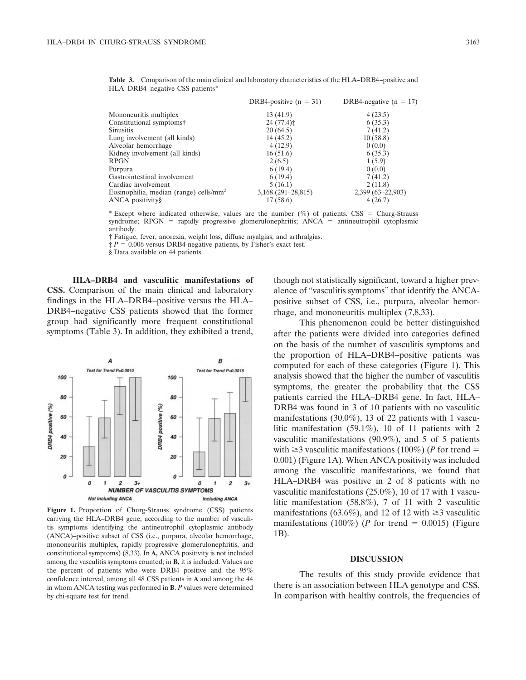| DRB4-positive $(n = 31)$ | DRB4-negative $(n = 17)$ |
|--------------------------|--------------------------|
| 13(41.9)                 | 4(23.5)                  |
| 24(77.4)                 | 6(35.3)                  |
| 20(64.5)                 | 7(41.2)                  |
| 14 (45.2)                | 10(58.8)                 |
| 4(12.9)                  | 0(0.0)                   |
| 16(51.6)                 | 6(35.3)                  |
| 2(6.5)                   | 1(5.9)                   |
| 6(19.4)                  | 0(0.0)                   |
| 6(19.4)                  | 7(41.2)                  |
| 5(16.1)                  | 2(11.8)                  |
| $3,168$ (291–28,815)     | 2,399 (63-22,903)        |
| 17(58.6)                 | 4(26.7)                  |
|                          |                          |

**Table 3.** Comparison of the main clinical and laboratory characteristics of the HLA–DRB4–positive and HLA–DRB4–negative CSS patients\*

\* Except where indicated otherwise, values are the number  $(\%)$  of patients. CSS = Churg-Strauss syndrome;  $RPGN$  = rapidly progressive glomerulonephritis;  $ANCA$  = antineutrophil cytoplasmic antibody.

† Fatigue, fever, anorexia, weight loss, diffuse myalgias, and arthralgias.

 $\dot{p} = 0.006$  versus DRB4-negative patients, by Fisher's exact test.

§ Data available on 44 patients.

**HLA–DRB4 and vasculitic manifestations of CSS.** Comparison of the main clinical and laboratory findings in the HLA–DRB4–positive versus the HLA– DRB4–negative CSS patients showed that the former group had significantly more frequent constitutional symptoms (Table 3). In addition, they exhibited a trend,



**Figure 1.** Proportion of Churg-Strauss syndrome (CSS) patients carrying the HLA–DRB4 gene, according to the number of vasculitis symptoms identifying the antineutrophil cytoplasmic antibody (ANCA)–positive subset of CSS (i.e., purpura, alveolar hemorrhage, mononeuritis multiplex, rapidly progressive glomerulonephritis, and constitutional symptoms) (8,33). In **A,** ANCA positivity is not included among the vasculitis symptoms counted; in **B,** it is included. Values are the percent of patients who were DRB4 positive and the 95% confidence interval, among all 48 CSS patients in **A** and among the 44 in whom ANCA testing was performed in **B**. *P* values were determined by chi-square test for trend.

though not statistically significant, toward a higher prevalence of "vasculitis symptoms" that identify the ANCApositive subset of CSS, i.e., purpura, alveolar hemorrhage, and mononeuritis multiplex (7,8,33).

This phenomenon could be better distinguished after the patients were divided into categories defined on the basis of the number of vasculitis symptoms and the proportion of HLA–DRB4–positive patients was computed for each of these categories (Figure 1). This analysis showed that the higher the number of vasculitis symptoms, the greater the probability that the CSS patients carried the HLA–DRB4 gene. In fact, HLA– DRB4 was found in 3 of 10 patients with no vasculitic manifestations (30.0%), 13 of 22 patients with 1 vasculitic manifestation (59.1%), 10 of 11 patients with 2 vasculitic manifestations (90.9%), and 5 of 5 patients with  $\geq$ 3 vasculitic manifestations (100%) (*P* for trend = 0.001) (Figure 1A). When ANCA positivity was included among the vasculitic manifestations, we found that HLA–DRB4 was positive in 2 of 8 patients with no vasculitic manifestations (25.0%), 10 of 17 with 1 vasculitic manifestation (58.8%), 7 of 11 with 2 vasculitic manifestations (63.6%), and 12 of 12 with  $\geq$ 3 vasculitic manifestations (100%) (*P* for trend  $= 0.0015$ ) (Figure 1B).

# **DISCUSSION**

The results of this study provide evidence that there is an association between HLA genotype and CSS. In comparison with healthy controls, the frequencies of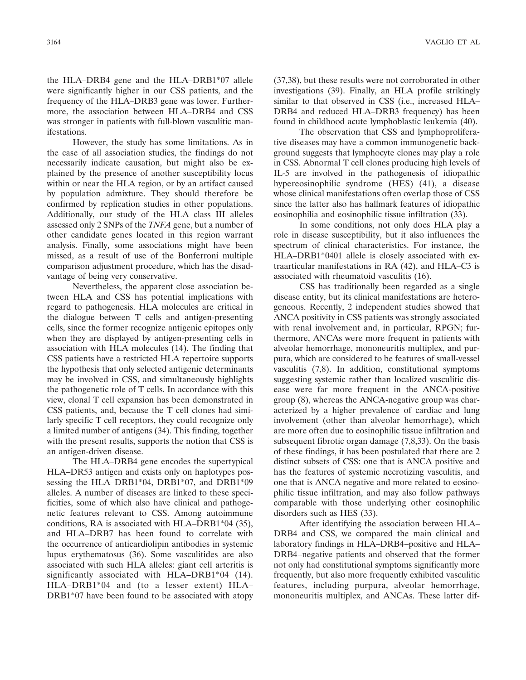the HLA–DRB4 gene and the HLA–DRB1\*07 allele were significantly higher in our CSS patients, and the frequency of the HLA–DRB3 gene was lower. Furthermore, the association between HLA–DRB4 and CSS was stronger in patients with full-blown vasculitic manifestations.

However, the study has some limitations. As in the case of all association studies, the findings do not necessarily indicate causation, but might also be explained by the presence of another susceptibility locus within or near the HLA region, or by an artifact caused by population admixture. They should therefore be confirmed by replication studies in other populations. Additionally, our study of the HLA class III alleles assessed only 2 SNPs of the *TNFA* gene, but a number of other candidate genes located in this region warrant analysis. Finally, some associations might have been missed, as a result of use of the Bonferroni multiple comparison adjustment procedure, which has the disadvantage of being very conservative.

Nevertheless, the apparent close association between HLA and CSS has potential implications with regard to pathogenesis. HLA molecules are critical in the dialogue between T cells and antigen-presenting cells, since the former recognize antigenic epitopes only when they are displayed by antigen-presenting cells in association with HLA molecules (14). The finding that CSS patients have a restricted HLA repertoire supports the hypothesis that only selected antigenic determinants may be involved in CSS, and simultaneously highlights the pathogenetic role of T cells. In accordance with this view, clonal T cell expansion has been demonstrated in CSS patients, and, because the T cell clones had similarly specific T cell receptors, they could recognize only a limited number of antigens (34). This finding, together with the present results, supports the notion that CSS is an antigen-driven disease.

The HLA–DRB4 gene encodes the supertypical HLA–DR53 antigen and exists only on haplotypes possessing the HLA–DRB1\*04, DRB1\*07, and DRB1\*09 alleles. A number of diseases are linked to these specificities, some of which also have clinical and pathogenetic features relevant to CSS. Among autoimmune conditions, RA is associated with HLA–DRB1\*04 (35), and HLA–DRB7 has been found to correlate with the occurrence of anticardiolipin antibodies in systemic lupus erythematosus (36). Some vasculitides are also associated with such HLA alleles: giant cell arteritis is significantly associated with HLA–DRB1\*04 (14). HLA–DRB1\*04 and (to a lesser extent) HLA– DRB1\*07 have been found to be associated with atopy

(37,38), but these results were not corroborated in other investigations (39). Finally, an HLA profile strikingly similar to that observed in CSS (i.e., increased HLA– DRB4 and reduced HLA–DRB3 frequency) has been found in childhood acute lymphoblastic leukemia (40).

The observation that CSS and lymphoproliferative diseases may have a common immunogenetic background suggests that lymphocyte clones may play a role in CSS. Abnormal T cell clones producing high levels of IL-5 are involved in the pathogenesis of idiopathic hypereosinophilic syndrome (HES) (41), a disease whose clinical manifestations often overlap those of CSS since the latter also has hallmark features of idiopathic eosinophilia and eosinophilic tissue infiltration (33).

In some conditions, not only does HLA play a role in disease susceptibility, but it also influences the spectrum of clinical characteristics. For instance, the HLA–DRB1\*0401 allele is closely associated with extraarticular manifestations in RA (42), and HLA–C3 is associated with rheumatoid vasculitis (16).

CSS has traditionally been regarded as a single disease entity, but its clinical manifestations are heterogeneous. Recently, 2 independent studies showed that ANCA positivity in CSS patients was strongly associated with renal involvement and, in particular, RPGN; furthermore, ANCAs were more frequent in patients with alveolar hemorrhage, mononeuritis multiplex, and purpura, which are considered to be features of small-vessel vasculitis (7,8). In addition, constitutional symptoms suggesting systemic rather than localized vasculitic disease were far more frequent in the ANCA-positive group (8), whereas the ANCA-negative group was characterized by a higher prevalence of cardiac and lung involvement (other than alveolar hemorrhage), which are more often due to eosinophilic tissue infiltration and subsequent fibrotic organ damage (7,8,33). On the basis of these findings, it has been postulated that there are 2 distinct subsets of CSS: one that is ANCA positive and has the features of systemic necrotizing vasculitis, and one that is ANCA negative and more related to eosinophilic tissue infiltration, and may also follow pathways comparable with those underlying other eosinophilic disorders such as HES (33).

After identifying the association between HLA– DRB4 and CSS, we compared the main clinical and laboratory findings in HLA–DRB4–positive and HLA– DRB4–negative patients and observed that the former not only had constitutional symptoms significantly more frequently, but also more frequently exhibited vasculitic features, including purpura, alveolar hemorrhage, mononeuritis multiplex, and ANCAs. These latter dif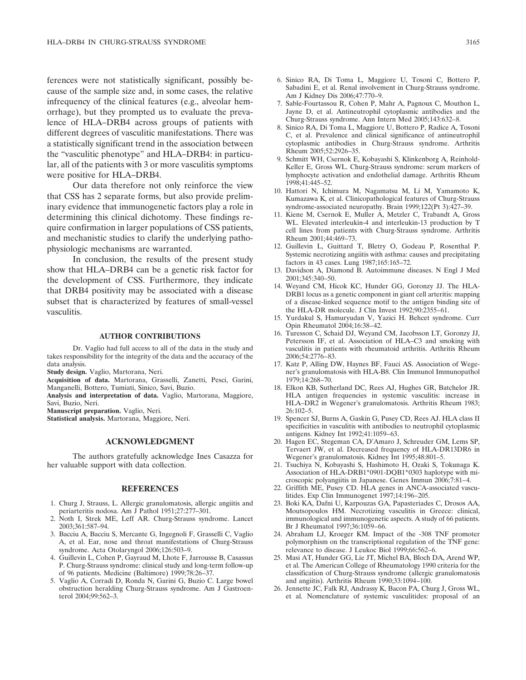ferences were not statistically significant, possibly because of the sample size and, in some cases, the relative infrequency of the clinical features (e.g., alveolar hemorrhage), but they prompted us to evaluate the prevalence of HLA–DRB4 across groups of patients with different degrees of vasculitic manifestations. There was a statistically significant trend in the association between the "vasculitic phenotype" and HLA–DRB4: in particular, all of the patients with 3 or more vasculitis symptoms were positive for HLA–DRB4.

Our data therefore not only reinforce the view that CSS has 2 separate forms, but also provide preliminary evidence that immunogenetic factors play a role in determining this clinical dichotomy. These findings require confirmation in larger populations of CSS patients, and mechanistic studies to clarify the underlying pathophysiologic mechanisms are warranted.

In conclusion, the results of the present study show that HLA–DRB4 can be a genetic risk factor for the development of CSS. Furthermore, they indicate that DRB4 positivity may be associated with a disease subset that is characterized by features of small-vessel vasculitis.

# **AUTHOR CONTRIBUTIONS**

Dr. Vaglio had full access to all of the data in the study and takes responsibility for the integrity of the data and the accuracy of the data analysis.

**Study design.** Vaglio, Martorana, Neri.

**Acquisition of data.** Martorana, Grasselli, Zanetti, Pesci, Garini, Manganelli, Bottero, Tumiati, Sinico, Savi, Buzio.

**Analysis and interpretation of data.** Vaglio, Martorana, Maggiore, Savi, Buzio, Neri.

**Manuscript preparation.** Vaglio, Neri.

**Statistical analysis.** Martorana, Maggiore, Neri.

#### **ACKNOWLEDGMENT**

The authors gratefully acknowledge Ines Casazza for her valuable support with data collection.

#### **REFERENCES**

- 1. Churg J, Strauss, L. Allergic granulomatosis, allergic angiitis and periarteritis nodosa. Am J Pathol 1951;27:277–301.
- 2. Noth I, Strek ME, Leff AR. Churg-Strauss syndrome. Lancet 2003;361:587–94.
- 3. Bacciu A, Bacciu S, Mercante G, Ingegnoli F, Grasselli C, Vaglio A, et al. Ear, nose and throat manifestations of Churg-Strauss syndrome. Acta Otolaryngol 2006;126:503–9.
- 4. Guillevin L, Cohen P, Gayraud M, Lhote F, Jarrousse B, Casassus P. Churg-Strauss syndrome: clinical study and long-term follow-up of 96 patients. Medicine (Baltimore) 1999;78:26–37.
- 5. Vaglio A, Corradi D, Ronda N, Garini G, Buzio C. Large bowel obstruction heralding Churg-Strauss syndrome. Am J Gastroenterol 2004;99:562–3.
- 6. Sinico RA, Di Toma L, Maggiore U, Tosoni C, Bottero P, Sabadini E, et al. Renal involvement in Churg-Strauss syndrome. Am J Kidney Dis 2006;47:770–9.
- 7. Sable-Fourtassou R, Cohen P, Mahr A, Pagnoux C, Mouthon L, Jayne D, et al. Antineutrophil cytoplasmic antibodies and the Churg-Strauss syndrome. Ann Intern Med 2005;143:632–8.
- 8. Sinico RA, Di Toma L, Maggiore U, Bottero P, Radice A, Tosoni C, et al. Prevalence and clinical significance of antineutrophil cytoplasmic antibodies in Churg-Strauss syndrome. Arthritis Rheum 2005;52:2926–35.
- 9. Schmitt WH, Csernok E, Kobayashi S, Klinkenborg A, Reinhold-Keller E, Gross WL. Churg-Strauss syndrome: serum markers of lymphocyte activation and endothelial damage. Arthritis Rheum 1998;41:445–52.
- 10. Hattori N, Ichimura M, Nagamatsu M, Li M, Yamamoto K, Kumazawa K, et al. Clinicopathological features of Churg-Strauss syndrome-associated neuropathy. Brain 1999;122(Pt 3):427–39.
- 11. Kiene M, Csernok E, Muller A, Metzler C, Trabandt A, Gross WL. Elevated interleukin-4 and interleukin-13 production by T cell lines from patients with Churg-Strauss syndrome. Arthritis Rheum 2001;44:469–73.
- 12. Guillevin L, Guittard T, Bletry O, Godeau P, Rosenthal P. Systemic necrotizing angiitis with asthma: causes and precipitating factors in 43 cases. Lung 1987;165:165–72.
- 13. Davidson A, Diamond B. Autoimmune diseases. N Engl J Med 2001;345:340–50.
- 14. Weyand CM, Hicok KC, Hunder GG, Goronzy JJ. The HLA-DRB1 locus as a genetic component in giant cell arteritis: mapping of a disease-linked sequence motif to the antigen binding site of the HLA-DR molecule. J Clin Invest 1992;90:2355–61.
- 15. Yurdakul S, Hamuryudan V, Yazici H. Behcet syndrome. Curr Opin Rheumatol 2004;16:38–42.
- 16. Turesson C, Schaid DJ, Weyand CM, Jacobsson LT, Goronzy JJ, Petersson IF, et al. Association of HLA–C3 and smoking with vasculitis in patients with rheumatoid arthritis. Arthritis Rheum 2006;54:2776–83.
- 17. Katz P, Alling DW, Haynes BF, Fauci AS. Association of Wegener's granulomatosis with HLA-B8. Clin Immunol Immunopathol 1979;14:268–70.
- 18. Elkon KB, Sutherland DC, Rees AJ, Hughes GR, Batchelor JR. HLA antigen frequencies in systemic vasculitis: increase in HLA–DR2 in Wegener's granulomatosis. Arthritis Rheum 1983; 26:102–5.
- 19. Spencer SJ, Burns A, Gaskin G, Pusey CD, Rees AJ. HLA class II specificities in vasculitis with antibodies to neutrophil cytoplasmic antigens. Kidney Int 1992;41:1059–63.
- 20. Hagen EC, Stegeman CA, D'Amaro J, Schreuder GM, Lems SP, Tervaert JW, et al. Decreased frequency of HLA-DR13DR6 in Wegener's granulomatosis. Kidney Int 1995;48:801–5.
- 21. Tsuchiya N, Kobayashi S, Hashimoto H, Ozaki S, Tokunaga K. Association of HLA-DRB1\*0901-DQB1\*0303 haplotype with microscopic polyangiitis in Japanese. Genes Immun 2006;7:81–4.
- 22. Griffith ME, Pusey CD. HLA genes in ANCA-associated vasculitides. Exp Clin Immunogenet 1997;14:196–205.
- 23. Boki KA, Dafni U, Karpouzas GA, Papasteriades C, Drosos AA, Moutsopoulos HM. Necrotizing vasculitis in Greece: clinical, immunological and immunogenetic aspects. A study of 66 patients. Br J Rheumatol 1997;36:1059–66.
- 24. Abraham LJ, Kroeger KM. Impact of the -308 TNF promoter polymorphism on the transcriptional regulation of the TNF gene: relevance to disease. J Leukoc Biol 1999;66:562–6.
- 25. Masi AT, Hunder GG, Lie JT, Michel BA, Bloch DA, Arend WP, et al. The American College of Rheumatology 1990 criteria for the classification of Churg-Strauss syndrome (allergic granulomatosis and angiitis). Arthritis Rheum 1990;33:1094–100.
- 26. Jennette JC, Falk RJ, Andrassy K, Bacon PA, Churg J, Gross WL, et al. Nomenclature of systemic vasculitides: proposal of an